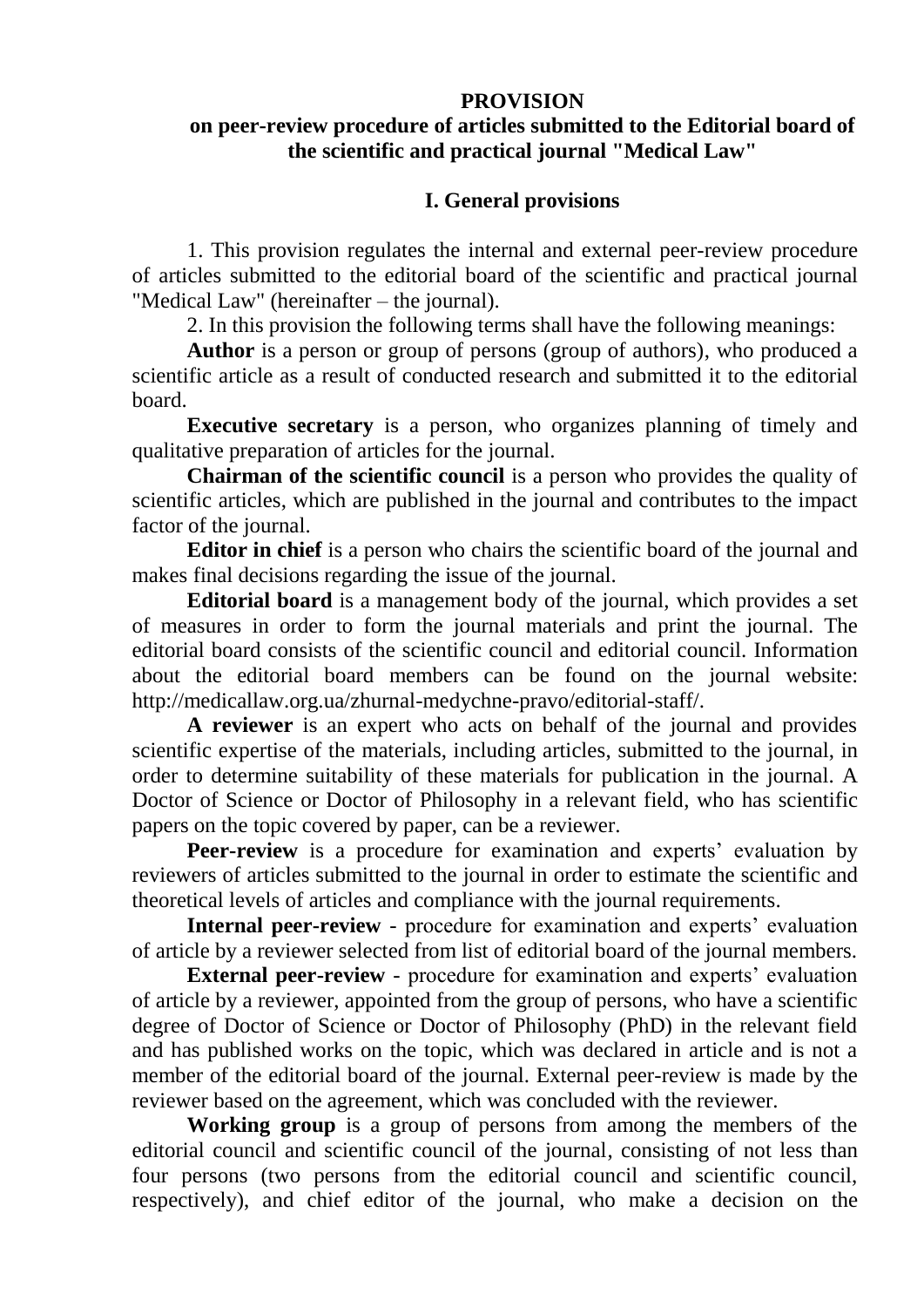#### **PROVISION**

### **on peer-review procedure of articles submitted to the Editorial board of the scientific and practical journal "Medical Law"**

#### **I. General provisions**

1. This provision regulates the internal and external peer-review procedure of articles submitted to the editorial board of the scientific and practical journal "Medical Law" (hereinafter – the journal).

2. In this provision the following terms shall have the following meanings:

**Author** is a person or group of persons (group of authors), who produced a scientific article as a result of conducted research and submitted it to the editorial board.

**Executive secretary** is a person, who organizes planning of timely and qualitative preparation of articles for the journal.

**Chairman of the scientific council** is a person who provides the quality of scientific articles, which are published in the journal and contributes to the impact factor of the journal.

**Editor in chief** is a person who chairs the scientific board of the journal and makes final decisions regarding the issue of the journal.

**Editorial board** is a management body of the journal, which provides a set of measures in order to form the journal materials and print the journal. The editorial board consists of the scientific council and editorial council. Information about the editorial board members can be found on the journal website: http://medicallaw.org.ua/zhurnal-medychne-pravo/editorial-staff/.

**A reviewer** is an expert who acts on behalf of the journal and provides scientific expertise of the materials, including articles, submitted to the journal, in order to determine suitability of these materials for publication in the journal. A Doctor of Science or Doctor of Philosophy in a relevant field, who has scientific papers on the topic covered by paper, can be a reviewer.

**Peer-review** is a procedure for examination and experts' evaluation by reviewers of articles submitted to the journal in order to estimate the scientific and theoretical levels of articles and compliance with the journal requirements.

**Internal peer-review** - procedure for examination and experts' evaluation of article by a reviewer selected from list of editorial board of the journal members.

**External peer-review** - procedure for examination and experts' evaluation of article by a reviewer, appointed from the group of persons, who have a scientific degree of Doctor of Science or Doctor of Philosophy (PhD) in the relevant field and has published works on the topic, which was declared in article and is not a member of the editorial board of the journal. External peer-review is made by the reviewer based on the agreement, which was concluded with the reviewer.

**Working group** is a group of persons from among the members of the editorial council and scientific council of the journal, consisting of not less than four persons (two persons from the editorial council and scientific council, respectively), and chief editor of the journal, who make a decision on the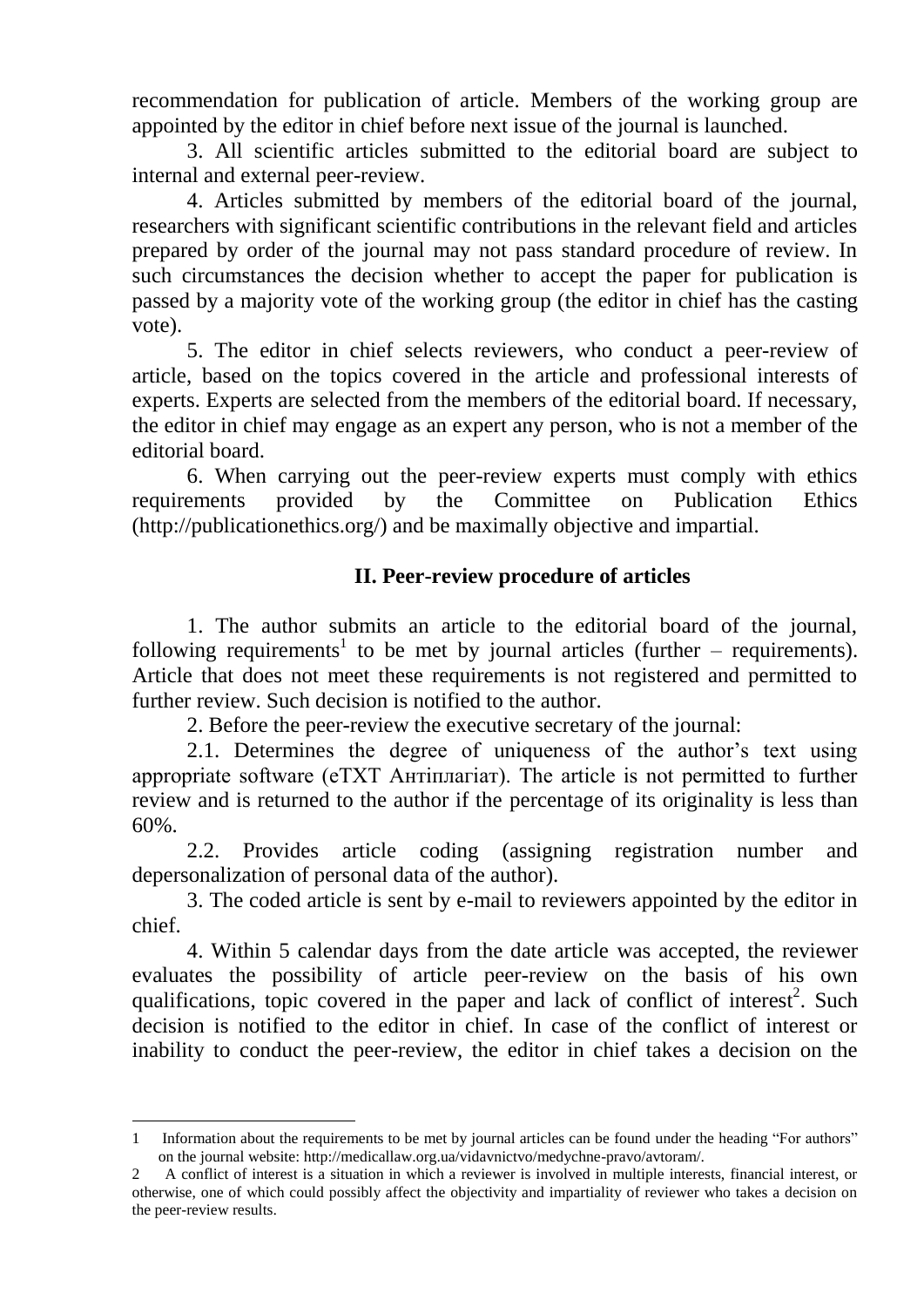recommendation for publication of article. Members of the working group are appointed by the editor in chief before next issue of the journal is launched.

3. All scientific articles submitted to the editorial board are subject to internal and external peer-review.

4. Articles submitted by members of the editorial board of the journal, researchers with significant scientific contributions in the relevant field and articles prepared by order of the journal may not pass standard procedure of review. In such circumstances the decision whether to accept the paper for publication is passed by a majority vote of the working group (the editor in chief has the casting vote).

5. The editor in chief selects reviewers, who conduct a peer-review of article, based on the topics covered in the article and professional interests of experts. Experts are selected from the members of the editorial board. If necessary, the editor in chief may engage as an expert any person, who is not a member of the editorial board.

6. When carrying out the peer-review experts must comply with ethics requirements provided by the Committee on Publication Ethics (http://publicationethics.org/) and be maximally objective and impartial.

## **II. Peer-review procedure of articles**

1. The author submits an article to the editorial board of the journal, following requirements<sup>1</sup> to be met by journal articles (further – requirements). Article that does not meet these requirements is not registered and permitted to further review. Such decision is notified to the author.

2. Before the peer-review the executive secretary of the journal:

2.1. Determines the degree of uniqueness of the author's text using appropriate software (eTXT Антіплагіат). The article is not permitted to further review and is returned to the author if the percentage of its originality is less than 60%.

2.2. Provides article coding (assigning registration number and depersonalization of personal data of the author).

3. The coded article is sent by e-mail to reviewers appointed by the editor in chief.

4. Within 5 calendar days from the date article was accepted, the reviewer evaluates the possibility of article peer-review on the basis of his own qualifications, topic covered in the paper and lack of conflict of interest<sup>2</sup>. Such decision is notified to the editor in chief. In case of the conflict of interest or inability to conduct the peer-review, the editor in chief takes a decision on the

1

<sup>1</sup> Information about the requirements to be met by journal articles can be found under the heading "For authors" on the journal website: http://medicallaw.org.ua/vidavnictvo/medychne-pravo/avtoram/.

<sup>2</sup> A conflict of interest is a situation in which a reviewer is involved in multiple interests, financial interest, or otherwise, one of which could possibly affect the objectivity and impartiality of reviewer who takes a decision on the peer-review results.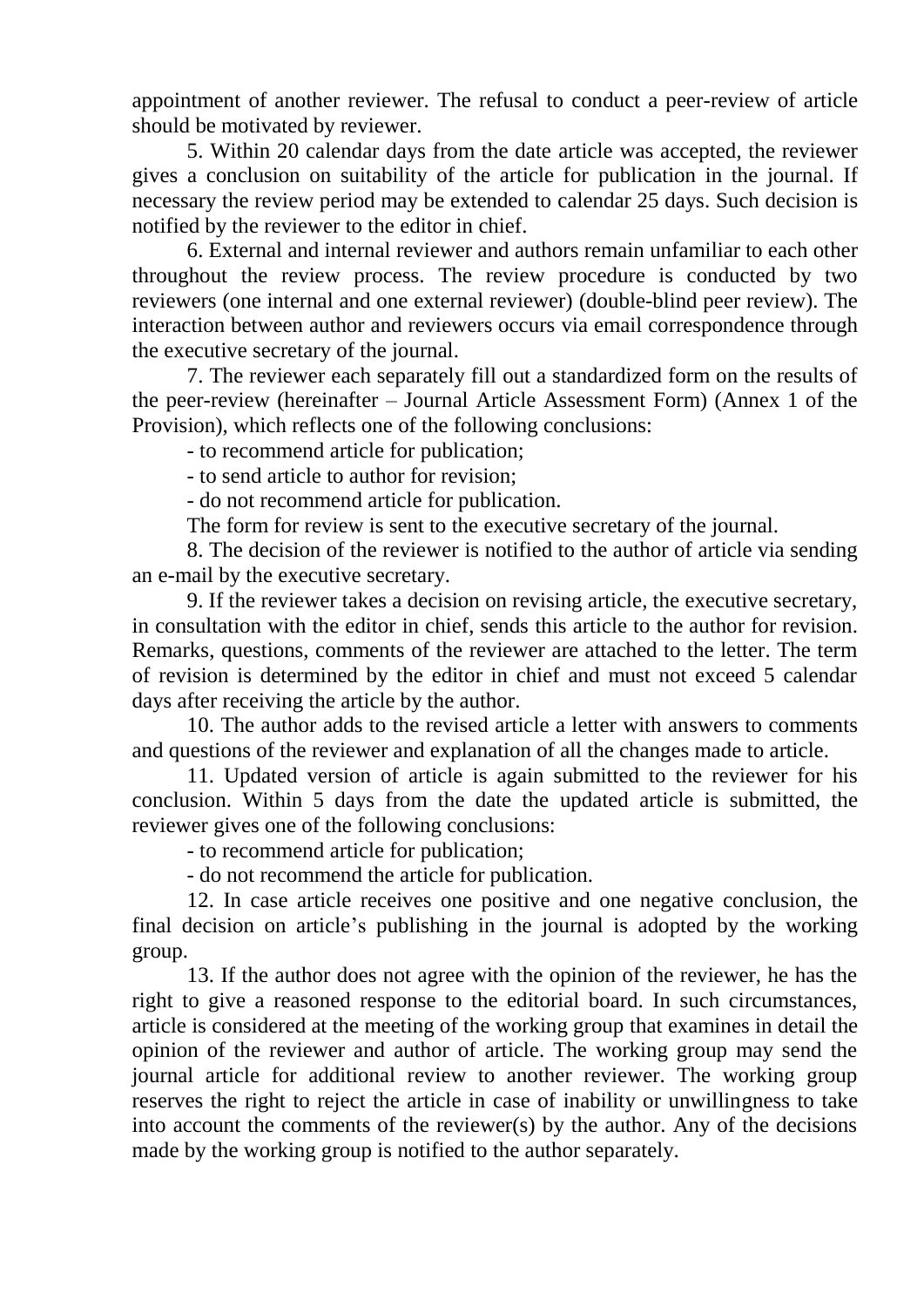appointment of another reviewer. The refusal to conduct a peer-review of article should be motivated by reviewer.

5. Within 20 calendar days from the date article was accepted, the reviewer gives a conclusion on suitability of the article for publication in the journal. If necessary the review period may be extended to calendar 25 days. Such decision is notified by the reviewer to the editor in chief.

6. External and internal reviewer and authors remain unfamiliar to each other throughout the review process. The review procedure is conducted by two reviewers (one internal and one external reviewer) (double-blind peer review). The interaction between author and reviewers occurs via email correspondence through the executive secretary of the journal.

7. The reviewer each separately fill out a standardized form on the results of the peer-review (hereinafter – Journal Article Assessment Form) (Annex 1 of the Provision), which reflects one of the following conclusions:

- to recommend article for publication;

- to send article to author for revision;

- do not recommend article for publication.

The form for review is sent to the executive secretary of the journal.

8. The decision of the reviewer is notified to the author of article via sending an e-mail by the executive secretary.

9. If the reviewer takes a decision on revising article, the executive secretary, in consultation with the editor in chief, sends this article to the author for revision. Remarks, questions, comments of the reviewer are attached to the letter. The term of revision is determined by the editor in chief and must not exceed 5 calendar days after receiving the article by the author.

10. The author adds to the revised article a letter with answers to comments and questions of the reviewer and explanation of all the changes made to article.

11. Updated version of article is again submitted to the reviewer for his conclusion. Within 5 days from the date the updated article is submitted, the reviewer gives one of the following conclusions:

- to recommend article for publication;

- do not recommend the article for publication.

12. In case article receives one positive and one negative conclusion, the final decision on article's publishing in the journal is adopted by the working group.

13. If the author does not agree with the opinion of the reviewer, he has the right to give a reasoned response to the editorial board. In such circumstances, article is considered at the meeting of the working group that examines in detail the opinion of the reviewer and author of article. The working group may send the journal article for additional review to another reviewer. The working group reserves the right to reject the article in case of inability or unwillingness to take into account the comments of the reviewer(s) by the author. Any of the decisions made by the working group is notified to the author separately.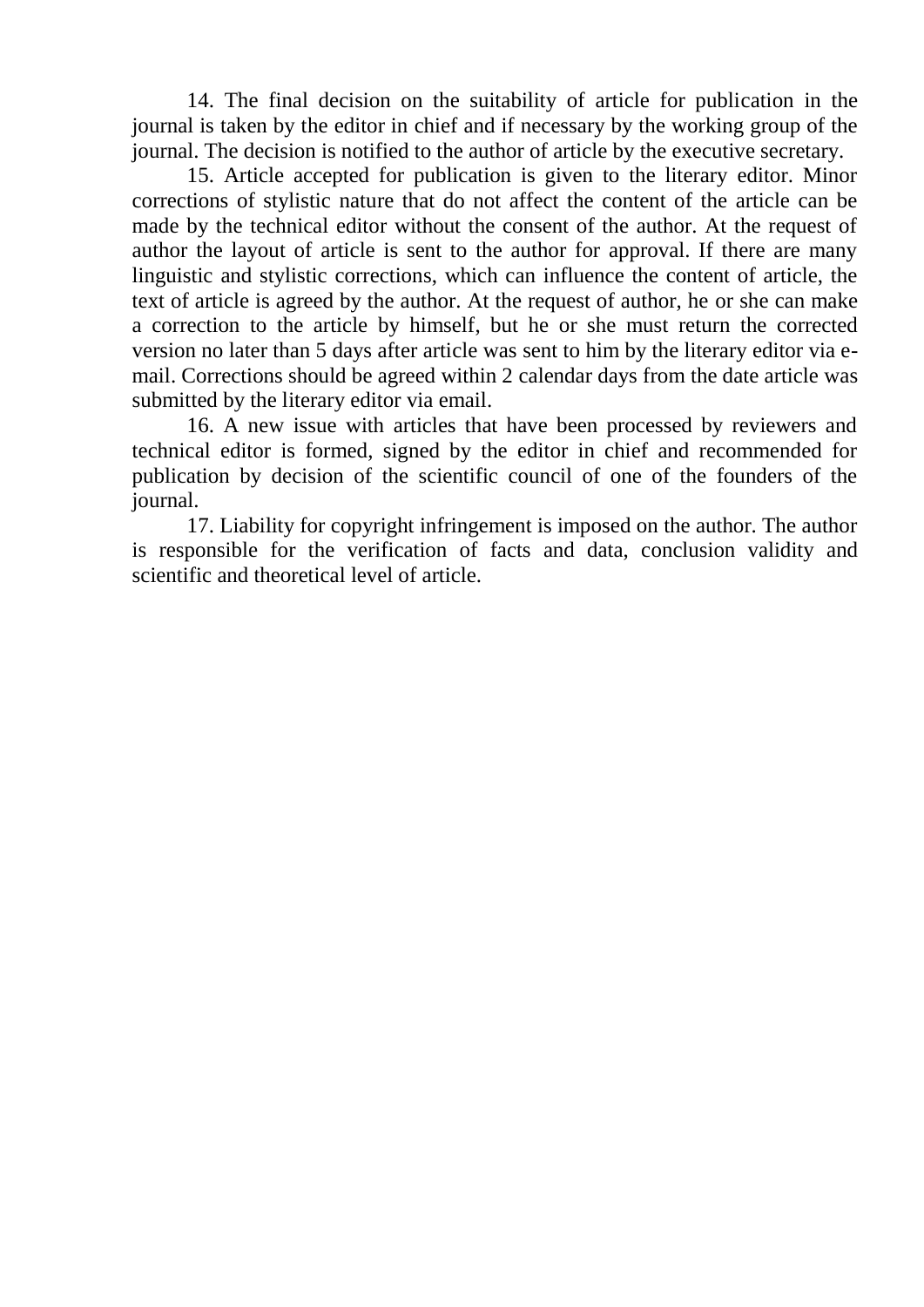14. The final decision on the suitability of article for publication in the journal is taken by the editor in chief and if necessary by the working group of the journal. The decision is notified to the author of article by the executive secretary.

15. Article accepted for publication is given to the literary editor. Minor corrections of stylistic nature that do not affect the content of the article can be made by the technical editor without the consent of the author. At the request of author the layout of article is sent to the author for approval. If there are many linguistic and stylistic corrections, which can influence the content of article, the text of article is agreed by the author. At the request of author, he or she can make a correction to the article by himself, but he or she must return the corrected version no later than 5 days after article was sent to him by the literary editor via email. Corrections should be agreed within 2 calendar days from the date article was submitted by the literary editor via email.

16. A new issue with articles that have been processed by reviewers and technical editor is formed, signed by the editor in chief and recommended for publication by decision of the scientific council of one of the founders of the journal.

17. Liability for copyright infringement is imposed on the author. The author is responsible for the verification of facts and data, conclusion validity and scientific and theoretical level of article.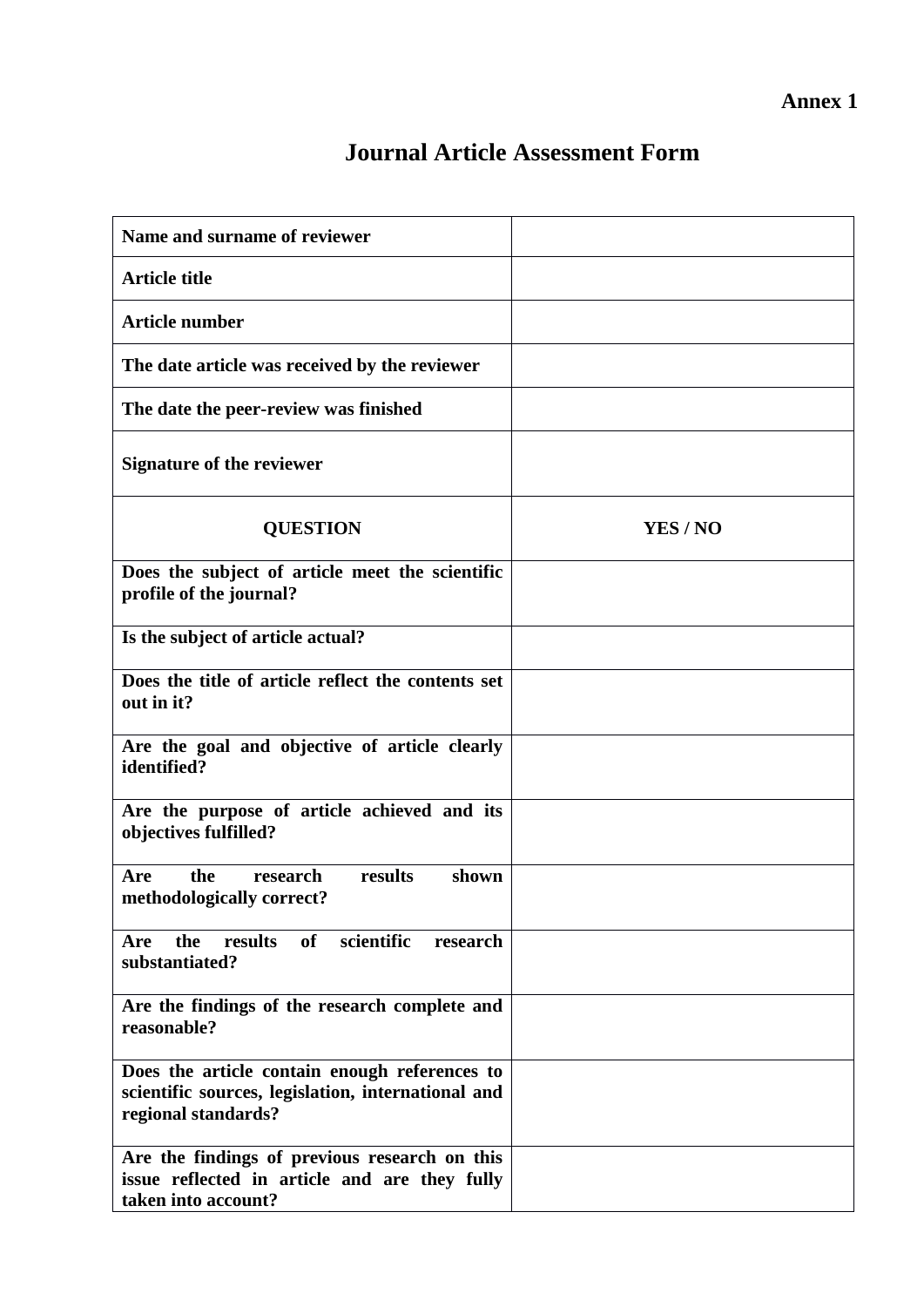# **Journal Article Assessment Form**

| Name and surname of reviewer                                                                                               |          |
|----------------------------------------------------------------------------------------------------------------------------|----------|
| <b>Article title</b>                                                                                                       |          |
| <b>Article number</b>                                                                                                      |          |
| The date article was received by the reviewer                                                                              |          |
| The date the peer-review was finished                                                                                      |          |
| <b>Signature of the reviewer</b>                                                                                           |          |
| <b>QUESTION</b>                                                                                                            | YES / NO |
| Does the subject of article meet the scientific<br>profile of the journal?                                                 |          |
| Is the subject of article actual?                                                                                          |          |
| Does the title of article reflect the contents set<br>out in it?                                                           |          |
| Are the goal and objective of article clearly<br>identified?                                                               |          |
| Are the purpose of article achieved and its<br>objectives fulfilled?                                                       |          |
| the<br>results<br>research<br>shown<br>Are<br>methodologically correct?                                                    |          |
| results<br>of<br>scientific<br>the<br>Are<br>research<br>substantiated?                                                    |          |
| Are the findings of the research complete and<br>reasonable?                                                               |          |
| Does the article contain enough references to<br>scientific sources, legislation, international and<br>regional standards? |          |
| Are the findings of previous research on this<br>issue reflected in article and are they fully<br>taken into account?      |          |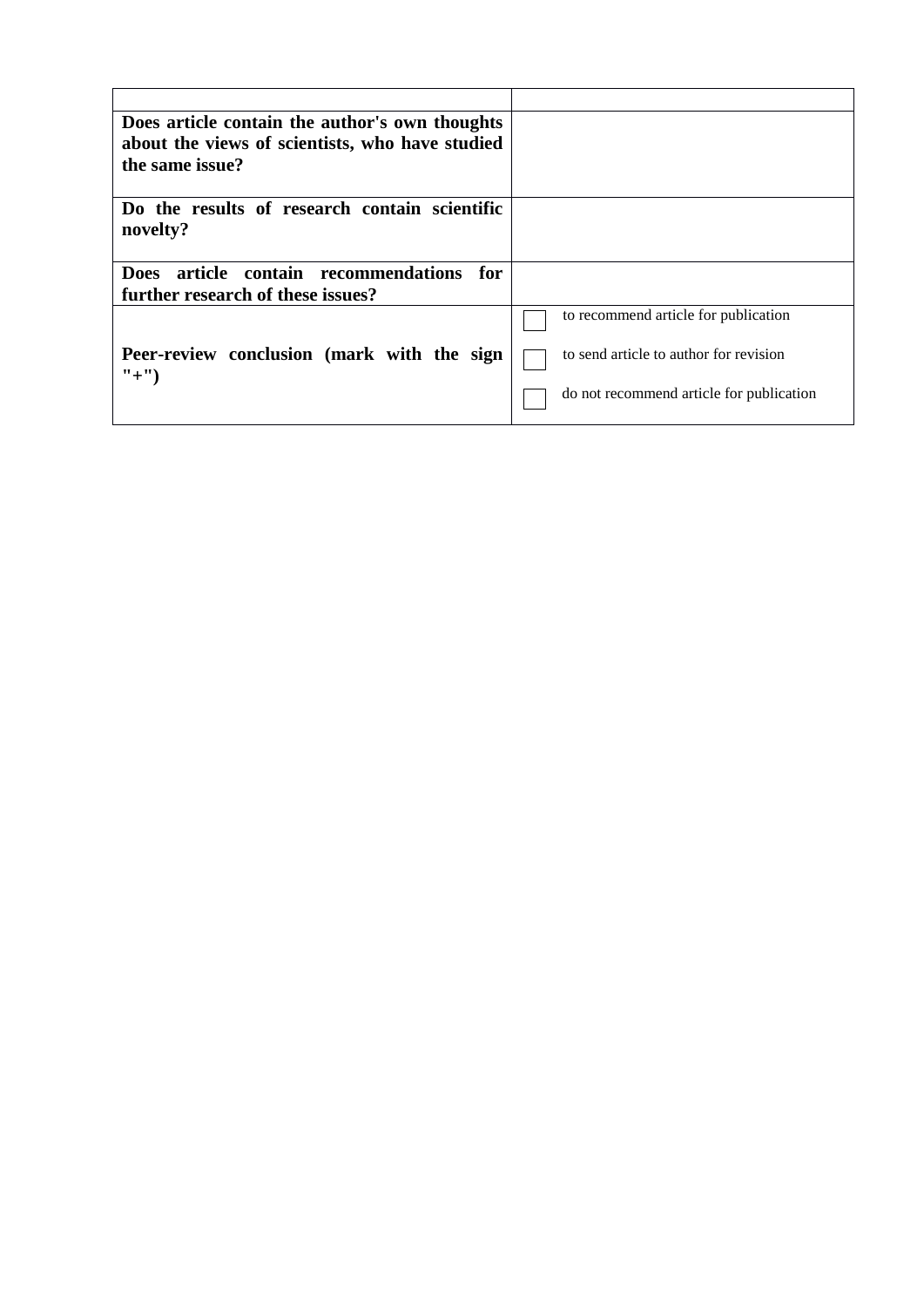| Does article contain the author's own thoughts        |                                          |
|-------------------------------------------------------|------------------------------------------|
| about the views of scientists, who have studied       |                                          |
| the same issue?                                       |                                          |
|                                                       |                                          |
| Do the results of research contain scientific         |                                          |
| novelty?                                              |                                          |
|                                                       |                                          |
| article contain recommendations<br><b>Does</b><br>for |                                          |
| further research of these issues?                     |                                          |
|                                                       | to recommend article for publication     |
| Peer-review conclusion (mark with the sign            | to send article to author for revision   |
| $"+'")$                                               |                                          |
|                                                       | do not recommend article for publication |
|                                                       |                                          |